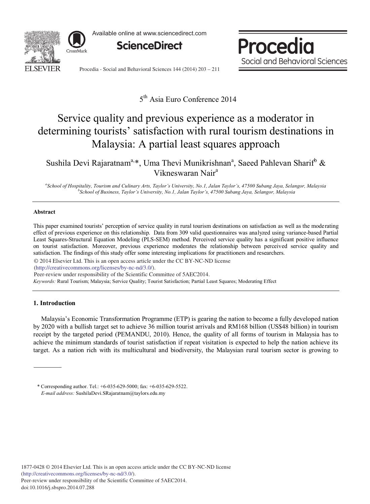

Available online at www.sciencedirect.com





Procedia - Social and Behavioral Sciences 144 (2014) 203 – 211

### 5th Asia Euro Conference 2014

# Service quality and previous experience as a moderator in determining tourists' satisfaction with rural tourism destinations in Malaysia: A partial least squares approach

## Sushila Devi Rajaratnam<sup>a,\*</sup>, Uma Thevi Munikrishnan<sup>a</sup>, Saeed Pahlevan Sharif<sup>b</sup> & Vikneswaran Nair<sup>a</sup>

*a School of Hospitality, Tourism and Culinary Arts, Taylor's University, No.1, Jalan Taylor's, 47500 Subang Jaya, Selangor, Malaysia b School of Business, Taylor's University, No.1, Jalan Taylor's, 47500 Subang Jaya, Selangor, Malaysia*

#### **Abstract**

This paper examined tourists' perception of service quality in rural tourism destinations on satisfaction as well as the moderating effect of previous experience on this relationship. Data from 309 valid questionnaires was analyzed using variance-based Partial Least Squares-Structural Equation Modeling (PLS-SEM) method. Perceived service quality has a significant positive influence on tourist satisfaction. Moreover, previous experience moderates the relationship between perceived service quality and satisfaction. The findings of this study offer some interesting implications for practitioners and researchers.

© 2014 Elsevier Ltd. This is an open access article under the CC BY-NC-ND license

(http://creativecommons.org/licenses/by-nc-nd/3.0/).

Peer-review under responsibility of the Scientific Committee of 5AEC2014.

*Keywords:* Rural Tourism; Malaysia; Service Quality; Tourist Satisfaction; Partial Least Squares; Moderating Effect

### **1. Introduction**

Malaysia's Economic Transformation Programme (ETP) is gearing the nation to become a fully developed nation by 2020 with a bullish target set to achieve 36 million tourist arrivals and RM168 billion (US\$48 billion) in tourism receipt by the targeted period (PEMANDU, 2010). Hence, the quality of all forms of tourism in Malaysia has to achieve the minimum standards of tourist satisfaction if repeat visitation is expected to help the nation achieve its target. As a nation rich with its multicultural and biodiversity, the Malaysian rural tourism sector is growing to

<sup>\*</sup> Corresponding author. Tel.: +6-035-629-5000; fax: +6-035-629-5522. *E-mail address:* SushilaDevi.SRajaratnam@taylors.edu.my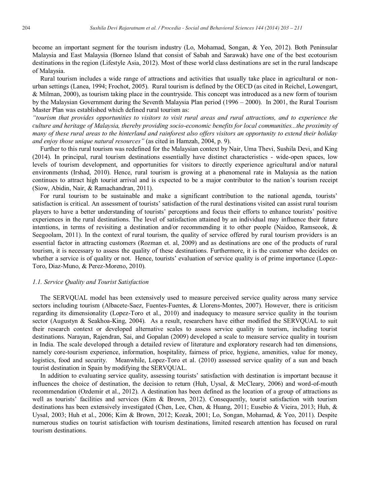become an important segment for the tourism industry (Lo, Mohamad, Songan, & Yeo, 2012). Both Peninsular Malaysia and East Malaysia (Borneo Island that consist of Sabah and Sarawak) have one of the best ecotourism destinations in the region (Lifestyle Asia, 2012). Most of these world class destinations are set in the rural landscape of Malaysia.

Rural tourism includes a wide range of attractions and activities that usually take place in agricultural or nonurban settings (Lanea, 1994; Frochot, 2005). Rural tourism is defined by the OECD (as cited in Reichel, Lowengart, & Milman, 2000), as tourism taking place in the countryside. This concept was introduced as a new form of tourism by the Malaysian Government during the Seventh Malaysia Plan period (1996 – 2000). In 2001, the Rural Tourism Master Plan was established which defined rural tourism as:

*"tourism that provides opportunities to visitors to visit rural areas and rural attractions, and to experience the culture and heritage of Malaysia, thereby providing socio-economic benefits for local communities...the proximity of many of these rural areas to the hinterland and rainforest also offers visitors an opportunity to extend their holiday and enjoy those unique natural resources"* (as cited in Hamzah, 2004, p. 9).

Further to this rural tourism was redefined for the Malaysian context by Nair, Uma Thevi, Sushila Devi, and King (2014). In principal, rural tourism destinations essentially have distinct characteristics - wide-open spaces, low levels of tourism development, and opportunities for visitors to directly experience agricultural and/or natural environments (Irshad, 2010). Hence, rural tourism is growing at a phenomenal rate in Malaysia as the nation continues to attract high tourist arrival and is expected to be a major contributor to the nation's tourism receipt (Siow, Abidin, Nair, & Ramachandran, 2011).

For rural tourism to be sustainable and make a significant contribution to the national agenda, tourists' satisfaction is critical. An assessment of tourists' satisfaction of the rural destinations visited can assist rural tourism players to have a better understanding of tourists' perceptions and focus their efforts to enhance tourists' positive experiences in the rural destinations. The level of satisfaction attained by an individual may influence their future intentions, in terms of revisiting a destination and/or recommending it to other people (Naidoo, Ramseook, & Seegoolam, 2011). In the context of rural tourism, the quality of service offered by rural tourism providers is an essential factor in attracting customers (Rozman et. al, 2009) and as destinations are one of the products of rural tourism, it is necessary to assess the quality of these destinations. Furthermore, it is the customer who decides on whether a service is of quality or not. Hence, tourists' evaluation of service quality is of prime importance (Lopez-Toro, Diaz-Muno, & Perez-Moreno, 2010).

#### *1.1. Service Quality and Tourist Satisfaction*

The SERVQUAL model has been extensively used to measure perceived service quality across many service sectors including tourism (Albacete-Saez, Fuentes-Fuentes, & Llorens-Montes, 2007). However, there is criticism regarding its dimensionality (Lopez-Toro et al., 2010) and inadequacy to measure service quality in the tourism sector (Augustyn & Seakhoa-King, 2004). As a result, researchers have either modified the SERVQUAL to suit their research context or developed alternative scales to assess service quality in tourism, including tourist destinations. Narayan, Rajendran, Sai, and Gopalan (2009) developed a scale to measure service quality in tourism in India. The scale developed through a detailed review of literature and exploratory research had ten dimensions, namely core-tourism experience, information, hospitality, fairness of price, hygiene, amenities, value for money, logistics, food and security. Meanwhile, Lopez-Toro et al. (2010) assessed service quality of a sun and beach tourist destination in Spain by modifying the SERVQUAL.

In addition to evaluating service quality, assessing tourists' satisfaction with destination is important because it influences the choice of destination, the decision to return (Huh, Uysal, & McCleary, 2006) and word-of-mouth recommendation (Ozdemir et al., 2012). A destination has been defined as the location of a group of attractions as well as tourists' facilities and services (Kim & Brown, 2012). Consequently, tourist satisfaction with tourism destinations has been extensively investigated (Chen, Lee, Chen, & Huang, 2011; Eusebio & Vieira, 2013; Huh, & Uysal, 2003; Huh et al., 2006; Kim & Brown, 2012; Kozak, 2001; Lo, Songan, Mohamad, & Yeo, 2011). Despite numerous studies on tourist satisfaction with tourism destinations, limited research attention has focused on rural tourism destinations.